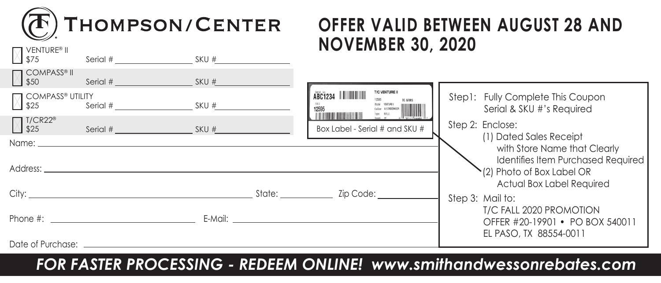

**VENTURE®** II

## **OFFER VALID BETWEEN AUGUST 28 AND NOVEMBER 30, 2020**

| VV \$75                                                                   | Serial # SKU #                                                                                                                                                                                                                 |                                                                                                                                                                                                                                |                                                                                                                          |                                                                                                                |
|---------------------------------------------------------------------------|--------------------------------------------------------------------------------------------------------------------------------------------------------------------------------------------------------------------------------|--------------------------------------------------------------------------------------------------------------------------------------------------------------------------------------------------------------------------------|--------------------------------------------------------------------------------------------------------------------------|----------------------------------------------------------------------------------------------------------------|
| <b>COMPASS®</b> II<br>1 \$50                                              | Serial # SKU # SKU #                                                                                                                                                                                                           |                                                                                                                                                                                                                                |                                                                                                                          |                                                                                                                |
| <b>M</b> COMPASS® UTILITY<br>$S$ erial # $S$ KU # $\frac{1}{2}$<br>V \$25 |                                                                                                                                                                                                                                |                                                                                                                                                                                                                                | T/C VENTURE II<br>ABC1234                  <br>TC ARMS<br>Undel VENTUREI<br>Type RFLE<br>Raml 22 A GOTA: Cassac<br>12595 | Step1: Fully Complete This Coupon<br>Serial & SKU #'s Required                                                 |
| △ T/CR22 <sup>®</sup>                                                     | Serial # SKU #                                                                                                                                                                                                                 |                                                                                                                                                                                                                                | Box Label - Serial # and SKU #                                                                                           | Step 2: Enclose:<br>(1) Dated Sales Receipt                                                                    |
|                                                                           | Name: when the contract of the contract of the contract of the contract of the contract of the contract of the contract of the contract of the contract of the contract of the contract of the contract of the contract of the |                                                                                                                                                                                                                                |                                                                                                                          | with Store Name that Clearly                                                                                   |
|                                                                           |                                                                                                                                                                                                                                |                                                                                                                                                                                                                                |                                                                                                                          | <b>Identifies Item Purchased Required</b><br>$\binom{1}{2}$ Photo of Box Label OR<br>Actual Box Label Required |
|                                                                           | City: State: State: State: State: State: State: State: State: State: State: State: State: State: State: State: State: State: State: State: State: State: State: State: State: State: State: State: State: State: State: State: |                                                                                                                                                                                                                                | Zip Code: __________                                                                                                     | Step 3: Mail to:                                                                                               |
|                                                                           | Phone #:                                                                                                                                                                                                                       | E-Mail: E-Mail: E-Mail: E-Mail: E-Mail: E-Mail: E-Mail: E-Mail: E-Mail: E-Mail: E-Mail: E-Mail: E-Mail: E-Mail: E-Mail: E-Mail: E-Mail: E-Mail: E-Mail: E-Mail: E-Mail: E-Mail: E-Mail: E-Mail: E-Mail: E-Mail: E-Mail: E-Mail |                                                                                                                          | T/C FALL 2020 PROMOTION<br>OFFER #20-19901 • PO BOX 540011<br>EL PASO, TX 88554-0011                           |
| Date of Purchase: ____________                                            |                                                                                                                                                                                                                                |                                                                                                                                                                                                                                |                                                                                                                          |                                                                                                                |

*FOR FASTER PROCESSING - REDEEM ONLINE! www.smithandwessonrebates.com*